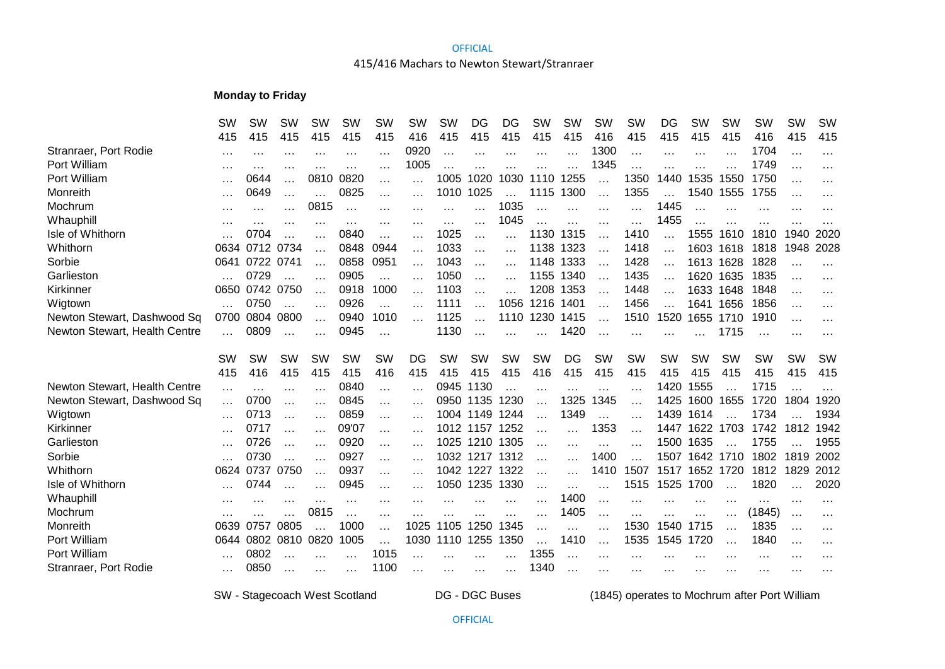#### **OFFICIAL**

## 415/416 Machars to Newton Stewart/Stranraer

## **Monday to Friday**

|                               | SW        | <b>SW</b> | <b>SW</b> | <b>SW</b> | <b>SW</b> | <b>SW</b> | SW       | <b>SW</b> | DG        | DG        | <b>SW</b> | <b>SW</b> | <b>SW</b> | <b>SW</b> | DG        | <b>SW</b> | <b>SW</b> | <b>SW</b> | <b>SW</b> | <b>SW</b> |
|-------------------------------|-----------|-----------|-----------|-----------|-----------|-----------|----------|-----------|-----------|-----------|-----------|-----------|-----------|-----------|-----------|-----------|-----------|-----------|-----------|-----------|
|                               | 415       | 415       | 415       | 415       | 415       | 415       | 416      | 415       | 415       | 415       | 415       | 415       | 416       | 415       | 415       | 415       | 415       | 416       | 415       | 415       |
| Stranraer, Port Rodie         | $\cdots$  | .         |           |           |           |           | 0920     |           |           | $\cdots$  |           |           | 1300      | $\cdots$  |           |           |           | 1704      |           |           |
| Port William                  | $\cdots$  | .         |           |           |           | $\cdots$  | 1005     |           |           |           |           |           | 1345      |           |           |           |           | 1749      |           | $\cdots$  |
| Port William                  | $\cdots$  | 0644      | .         | 0810      | 0820      | .         |          | 1005      | 1020      | 1030      | 1110      | 1255      | $\ddotsc$ | 1350      | 1440      | 1535      | 1550      | 1750      |           | $\cdots$  |
| Monreith                      | $\cdots$  | 0649      | $\cdots$  |           | 0825      | $\cdots$  | $\cdots$ | 1010      | 1025      |           | 1115      | 1300      | $\ddotsc$ | 1355      |           | 1540      | 1555      | 1755      |           | $\cdot$   |
| Mochrum                       | $\cdots$  | $\cdots$  | $\cdots$  | 0815      | $\ddotsc$ | $\cdots$  | $\cdots$ | .         | .         | 1035      |           | .         | $\ddotsc$ | $\ddotsc$ | 1445      | $\ddotsc$ | $\cdots$  | $\cdots$  | $\cdots$  | $\cdots$  |
| Whauphill                     | .         | $\cdots$  | $\cdots$  | .         | $\cdots$  | $\cdots$  | .        | $\cdots$  |           | 1045      |           |           | $\cdots$  | $\cdots$  | 1455      |           |           |           |           |           |
| Isle of Whithorn              |           | 0704      |           |           | 0840      | $\cdots$  | $\cdots$ | 1025      | $\cdots$  | $\ddotsc$ | 1130      | 1315      |           | 1410      |           | 1555      | 1610      | 1810      | 1940      | 2020      |
| Whithorn                      | 0634      | 0712      | 0734      |           | 0848      | 0944      | $\cdots$ | 1033      |           | $\cdots$  | 1138      | 1323      |           | 1418      |           | 1603      | 1618      | 1818      | 1948      | 2028      |
| Sorbie                        | 0641      | 0722 0741 |           |           | 0858      | 0951      | $\cdots$ | 1043      | .         | $\cdots$  | 1148      | 1333      | .         | 1428      | $\ddotsc$ |           | 1613 1628 | 1828      | .         |           |
| Garlieston                    |           | 0729      | $\ddotsc$ | .         | 0905      | $\cdots$  | .        | 1050      | .         | $\cdots$  | 1155      | 1340      | $\ddotsc$ | 1435      | $\cdots$  | 1620      | 1635      | 1835      | $\ddotsc$ | $\cdots$  |
| Kirkinner                     | 0650      | 0742      | 0750      | $\cdots$  | 0918      | 1000      | $\cdots$ | 1103      | $\cdots$  | $\cdots$  | 1208      | 1353      | $\cdots$  | 1448      | .         | 1633      | 1648      | 1848      | $\ddotsc$ | $\cdot$   |
| Wigtown                       |           | 0750      |           |           | 0926      | .         |          | 1111      |           | 1056      | 1216      | 1401      |           | 1456      |           | 1641      | 1656      | 1856      |           | $\cdots$  |
| Newton Stewart, Dashwood Sq   | 0700      | 0804      | 0800      | .         | 0940      | 1010      | .        | 1125      |           | 1110      | 1230      | 1415      |           | 1510      | 1520      | 1655      | 1710      | 1910      | $\cdots$  | $\cdots$  |
| Newton Stewart, Health Centre | .         | 0809      |           |           | 0945      | $\cdots$  |          | 1130      |           |           |           | 1420      |           |           |           |           | 1715      | $\ddotsc$ | $\ddotsc$ | $\cdots$  |
|                               |           |           |           |           |           |           |          |           |           |           |           |           |           |           |           |           |           |           |           |           |
|                               | <b>SW</b> | <b>SW</b> | <b>SW</b> | <b>SW</b> | <b>SW</b> | SW        | DG       | SW        | <b>SW</b> | SW        | SW        | DG        | <b>SW</b> | <b>SW</b> | <b>SW</b> | <b>SW</b> | SW        | <b>SW</b> | SW        | SW        |
|                               | 415       | 416       | 415       | 415       | 415       | 416       | 415      | 415       | 415       | 415       | 416       | 415       | 415       | 415       | 415       | 415       | 415       | 415       | 415       | 415       |
|                               |           |           |           |           |           |           |          |           |           |           |           |           |           |           |           |           |           |           |           |           |
| Newton Stewart, Health Centre | $\cdots$  | .         | $\cdots$  | $\cdots$  | 0840      | $\cdots$  | $\cdots$ | 0945      | 1130      |           | $\cdots$  |           |           | $\cdots$  | 1420      | 1555      |           | 1715      |           |           |
| Newton Stewart, Dashwood Sq   | $\cdots$  | 0700      | .         | .         | 0845      | $\cdots$  | $\cdots$ | 0950      | 1135      | 1230      |           | 1325      | 1345      | $\ddotsc$ | 1425      | 1600      | 1655      | 1720      | 1804      | 1920      |
| Wigtown                       | $\cdots$  | 0713      | .         | $\cdots$  | 0859      | .         | $\cdots$ |           | 1004 1149 | 1244      |           | 1349      | .         | $\ddotsc$ | 1439      | 1614      |           | 1734      |           | 1934      |
| Kirkinner                     | $\cdots$  | 0717      | $\cdots$  | $\cdots$  | 09'07     | .         | $\cdots$ | 1012      | 1157      | 1252      |           | $\cdots$  | 1353      | $\cdots$  | 1447      | 1622      | 1703      | 1742      | 181<br>2  | 1942      |
| Garlieston                    |           | 0726      | $\cdots$  | .         | 0920      | $\cdots$  | $\cdots$ | 1025      | 1210      | 1305      | $\cdots$  | $\cdots$  | .         | $\cdots$  | 1500      | 1635      |           | 1755      |           | 1955      |
| Sorbie                        |           | 0730      |           | .         | 0927      | $\cdots$  | $\cdots$ | 1032      | 1217      | 1312      |           |           | 1400      |           | 1507      | 1642      | 1710      | 1802      | 1819      | 2002      |
| Whithorn                      | 0624      | 0737      | 0750      | .         | 0937      | .         |          |           | 1042 1227 | 1322      |           | $\cdots$  | 1410      | 1507      | 1517      | 1652      | 1720      | 1812      | 1829      | 2012      |
| Isle of Whithorn              |           | 0744      |           |           | 0945      | .         |          | 1050      | 1235      | 1330      |           | .         | .         | 1515      | 1525      | 1700      |           | 1820      |           | 2020      |
| Whauphill                     | $\cdots$  | .         | $\cdots$  | .         | $\cdot$   | $\cdots$  | .        |           |           | $\cdot$   |           | 1400      | $\ddotsc$ | $\ddotsc$ |           | $\cdots$  | $\cdots$  | $\cdots$  | $\ddotsc$ |           |
| Mochrum                       | $\cdots$  |           |           | 0815      |           | .         | .        |           | .         | $\cdots$  | $\cdots$  | 1405      | $\ddotsc$ | $\cdots$  | $\cdots$  | $\cdots$  | $\cdots$  | (1845)    | $\cdots$  | $\cdots$  |
| Monreith                      | 0639      | 0757      | 0805      |           | 1000      | .         | 1025     | 1105      | 1250      | 1345      |           |           | $\ddotsc$ | 1530      | 1540      | 1715      | $\cdots$  | 1835      | $\cdots$  | $\cdots$  |
| Port William                  | 0644      | 0802      | 0810      | 0820      | 1005      | $\cdots$  | 1030     | 1110      | 1255      | 1350      |           | 1410      |           | 1535      | 1545      | 1720      |           | 1840      | $\ddotsc$ | $\cdots$  |
| Port William                  |           | 0802      |           |           |           | 1015      |          |           |           |           | 1355      |           | $\cdots$  | $\cdots$  |           |           | .         | $\cdots$  |           |           |
| Stranraer, Port Rodie         | $\cdots$  | 0850      |           | .         | $\cdots$  | 1100      | .        | .         | $\cdots$  | $\cdots$  | 1340      | $\ddotsc$ | $\cdots$  | $\cdots$  | $\cdots$  | $\cdots$  | .         | $\cdots$  | $\cdots$  | $\cdots$  |

SW - Stagecoach West Scotland

DG - DGC Buses (1845) operates to Mochrum after Port William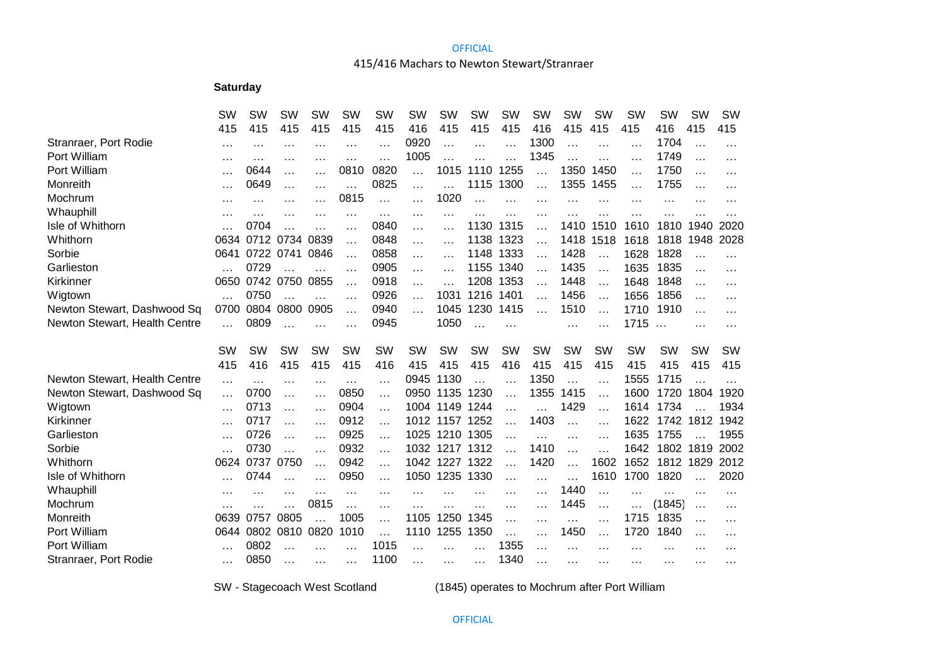#### **OFFICIAL**

## 415/416 Machars to Newton Stewart/Stranraer

# **Saturday**

|                               | <b>SW</b> | SW        | SW        | SW        | SW        | SW        | <b>SW</b> | SW        | SW        | SW        | SW        | <b>SW</b> | SW        | SW        | <b>SW</b> | <b>SW</b> | SW        |
|-------------------------------|-----------|-----------|-----------|-----------|-----------|-----------|-----------|-----------|-----------|-----------|-----------|-----------|-----------|-----------|-----------|-----------|-----------|
|                               | 415       | 415       | 415       | 415       | 415       | 415       | 416       | 415       | 415       | 415       | 416       | 415       | 415       | 415       | 416       | 415       | 415       |
| Stranraer, Port Rodie         | $\cdots$  | $\cdots$  | $\cdots$  | $\cdots$  | $\cdots$  | $\cdots$  | 0920      | $\cdots$  | .         | .         | 1300      | $\ddotsc$ | $\ddotsc$ | $\cdots$  | 1704      | $\cdots$  | $\cdots$  |
| Port William                  | $\cdots$  | $\cdots$  | $\cdots$  | $\cdots$  | .         | $\ddotsc$ | 1005      |           |           | .         | 1345      | $\ddotsc$ | $\ddotsc$ | $\cdots$  | 1749      | $\cdots$  | $\cdots$  |
| Port William                  | $\cdots$  | 0644      | .         | $\cdots$  | 0810      | 0820      | $\ddotsc$ | 1015      | 1110      | 1255      | .         | 1350      | 1450      | $\ddotsc$ | 1750      | .         | .         |
| Monreith                      | $\cdots$  | 0649      | $\cdots$  | $\cdots$  | .         | 0825      | $\cdots$  | .         | 1115      | 1300      | .         | 1355      | 1455      | $\ddotsc$ | 1755      | $\cdots$  | .         |
| Mochrum                       | $\cdot$   | $\cdots$  | $\cdots$  |           | 0815      | $\ddotsc$ | $\cdots$  | 1020      | $\ddotsc$ | $\ddotsc$ | .         | $\ddotsc$ | .         | .         |           | .         |           |
| Whauphill                     |           |           | $\cdots$  |           | .         | $\ddotsc$ | $\cdots$  | $\cdots$  |           |           | .         |           |           |           |           |           |           |
| Isle of Whithorn              |           | 0704      |           |           |           | 0840      | .         | $\cdots$  | 1130      | 1315      | .         | 1410      | 1510      | 1610      | 1810      | 1940      | 2020      |
| Whithorn                      | 0634      |           | 0712 0734 | 0839      |           | 0848      | $\cdots$  | $\cdots$  | 1138      | 1323      | .         | 1418      | 1518      | 1618      | 1818      | 1948      | 2028      |
| Sorbie                        | 0641      | 0722 0741 |           | 0846      | $\cdots$  | 0858      | $\ddotsc$ | $\ddotsc$ | 1148      | 1333      | .         | 1428      |           | 1628      | 1828      |           |           |
| Garlieston                    |           | 0729      |           |           | $\cdots$  | 0905      | .         | $\cdots$  | 1155      | 1340      | .         | 1435      | $\cdots$  | 1635      | 1835      | $\cdots$  | .         |
| Kirkinner                     | 0650      |           | 0742 0750 | 0855      | $\cdots$  | 0918      | $\cdots$  | $\cdots$  | 1208      | 1353      | .         | 1448      | $\cdots$  | 1648      | 1848      | .         | .         |
| Wigtown                       | $\cdots$  | 0750      | $\cdots$  |           | .         | 0926      | $\cdots$  | 1031      | 1216      | 1401      | .         | 1456      | $\cdots$  | 1656      | 1856      | $\cdots$  | $\cdots$  |
| Newton Stewart, Dashwood Sq   | 0700      | 0804      | 0800      | 0905      | .         | 0940      | $\cdots$  | 1045      | 1230      | 1415      |           | 1510      | $\ddotsc$ | 1710      | 1910      | $\cdots$  | .         |
| Newton Stewart, Health Centre | $\cdots$  | 0809      | $\cdots$  |           | $\cdots$  | 0945      |           | 1050      | $\ddotsc$ | $\ddotsc$ |           | $\cdots$  | .         | 1715      | $\ldots$  | $\cdots$  | .         |
|                               |           |           |           |           |           |           |           |           |           |           |           |           |           |           |           |           |           |
|                               | SW        | <b>SW</b> | <b>SW</b> | <b>SW</b> | <b>SW</b> | <b>SW</b> | <b>SW</b> | <b>SW</b> | <b>SW</b> | <b>SW</b> | <b>SW</b> | <b>SW</b> | <b>SW</b> | <b>SW</b> | <b>SW</b> | SW        | <b>SW</b> |
|                               | 415       | 416       | 415       | 415       | 415       | 416       | 415       | 415       | 415       | 416       | 415       | 415       | 415       | 415       | 415       | 415       | 415       |
| Newton Stewart, Health Centre | $\cdots$  | $\cdots$  | $\cdots$  | $\cdots$  | $\cdots$  | .         | 0945      | 1130      |           |           | 1350      | $\ddotsc$ | .         | 1555      | 1715      |           |           |
| Newton Stewart, Dashwood Sq   | $\cdots$  | 0700      | $\cdots$  | $\cdots$  | 0850      | $\cdots$  | 0950      | 1135      | 1230      | .         | 1355      | 1415      | $\ddotsc$ | 1600      | 1720      | 1804      | 1920      |
| Wigtown                       | $\cdots$  | 0713      | $\cdots$  | $\cdots$  | 0904      | $\cdots$  | 1004      | 1149      | 1244      | $\ddotsc$ |           | 1429      | $\ddotsc$ | 1614      | 1734      |           | 1934      |
| Kirkinner                     | $\cdots$  | 0717      | $\cdots$  | $\cdots$  | 0912      | $\cdots$  | 1012      | 1157      | 1252      |           | 1403      | $\ddotsc$ | $\cdot$   | 1622      | 1742      | 1812      | 1942      |
| Garlieston                    | $\cdots$  | 0726      | $\cdots$  | $\ddotsc$ | 0925      | $\cdots$  | 1025      | 1210      | 1305      | $\ddotsc$ | $\cdots$  | $\cdots$  | $\cdots$  | 1635      | 1755      |           | 1955      |
| Sorbie                        |           | 0730      | $\ddotsc$ | $\cdots$  | 0932      | $\ddotsc$ | 1032      | 1217      | 1312      |           | 1410      | $\ddotsc$ |           | 1642      | 1802      | 1819      | 2002      |
| Whithorn                      | 0624      | 0737      | 0750      | $\ddotsc$ | 0942      | $\cdots$  | 1042      | 1227      | 1322      | $\cdots$  | 1420      | $\ddotsc$ | 1602      | 1652      | 1812      | 1829      | 2012      |
| Isle of Whithorn              |           | 0744      | .         |           | 0950      | .         | 1050      | 1235      | 1330      | .         | $\cdots$  | $\ddotsc$ | 1610      | 1700      | 1820      |           | 2020      |
| Whauphill                     | $\cdot$   | $\cdot$   | $\cdots$  | $\cdots$  | $\ddotsc$ | $\cdots$  | $\cdots$  |           | $\ddotsc$ | .         | $\cdots$  | 1440      | $\cdots$  | $\cdots$  | $\ddotsc$ | .         |           |
| Mochrum                       |           |           | .         | 0815      | .         | $\ddotsc$ |           |           | .         | $\cdots$  | .         | 1445      | $\cdots$  |           | (1845)    | $\cdots$  | .         |
| Monreith                      | 0639      | 0757      | 0805      |           | 1005      | .         | 1105      | 1250      | 1345      | $\ddotsc$ | $\cdots$  | $\ddotsc$ | $\cdots$  | 1715      | 1835      | $\cdots$  | .         |
| Port William                  | 0644      | 0802      | 0810      | 0820      | 1010      | .         | 1110      | 1255      | 1350      | .         | $\cdots$  | 1450      | $\cdots$  | 1720      | 1840      | $\cdots$  | .         |
| Port William                  | $\cdots$  | 0802      |           |           | $\cdots$  | 1015      |           | $\cdots$  |           | 1355      | .         | $\cdots$  | $\cdot$   |           |           | .         | .         |
| Stranraer, Port Rodie         | $\cdots$  | 0850      | $\cdot$   | $\cdots$  | $\cdots$  | 1100      | $\cdots$  | $\cdots$  | $\cdots$  | 1340      | $\cdots$  | $\cdots$  | $\cdots$  | $\cdots$  | $\cdots$  | .         |           |

SW - Stagecoach West Scotland

(1845) operates to Mochrum after Port William